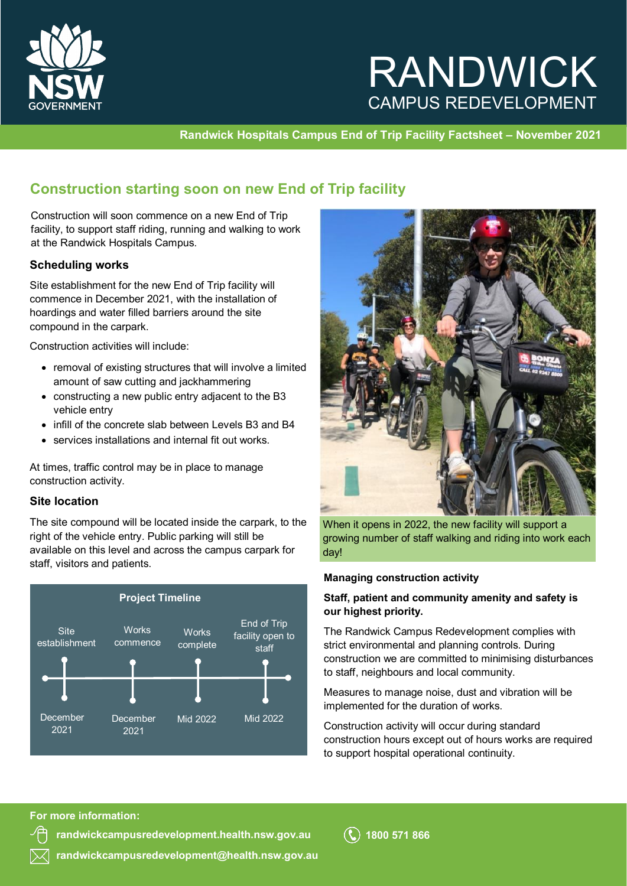

# RANDWICK CAMPUS REDEVELOPMENT

**Randwick Hospitals Campus End of Trip Facility Factsheet – November 2021** 

### **Construction starting soon on new End of Trip facility**

Construction will soon commence on a new End of Trip facility, to support staff riding, running and walking to work at the Randwick Hospitals Campus.

### **Scheduling works**

Site establishment for the new End of Trip facility will commence in December 2021, with the installation of hoardings and water filled barriers around the site compound in the carpark.

Construction activities will include:

- removal of existing structures that will involve a limited amount of saw cutting and jackhammering
- constructing a new public entry adjacent to the B3 vehicle entry
- infill of the concrete slab between Levels B3 and B4
- services installations and internal fit out works.

At times, traffic control may be in place to manage construction activity.

### **Site location**

The site compound will be located inside the carpark, to the right of the vehicle entry. Public parking will still be available on this level and across the campus carpark for staff, visitors and patients.





When it opens in 2022, the new facility will support a growing number of staff walking and riding into work each day!

### **Managing construction activity**

### **Staff, patient and community amenity and safety is our highest priority.**

The Randwick Campus Redevelopment complies with strict environmental and planning controls. During construction we are committed to minimising disturbances to staff, neighbours and local community.

Measures to manage noise, dust and vibration will be implemented for the duration of works.

Construction activity will occur during standard construction hours except out of hours works are required to support hospital operational continuity.

#### **For more information:**

**[randwickcampusredevelopment.health.nsw.gov.au](http://www.randwickcampusredevelopment.health.nsw.gov.au)**

**[randwickcampusredevelopment@health.nsw.gov.au](mailto:randwickcampusredevelopment@health.nsw.gov.au)**